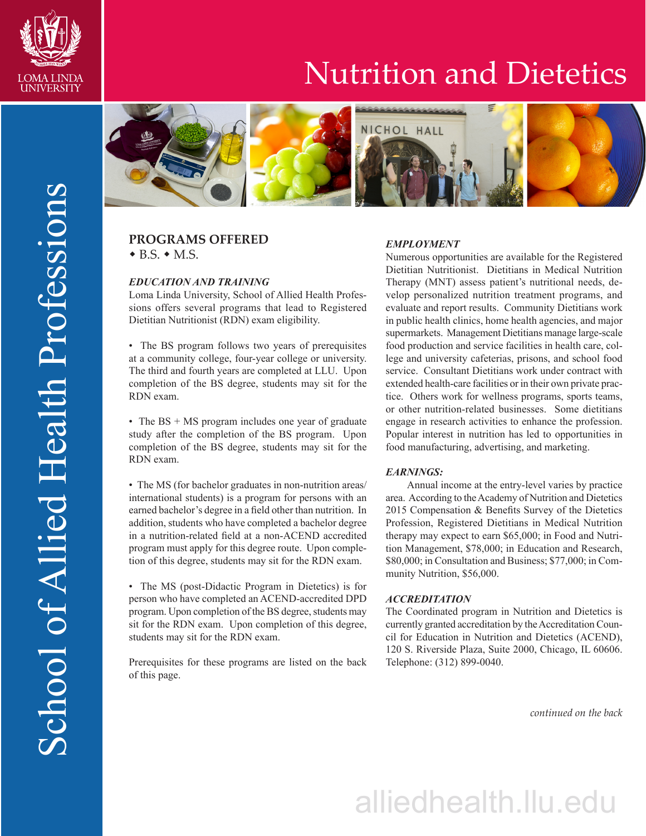

## Nutrition and Dietetics



### **PROGRAMS OFFERED**  $\bullet$  B.S.  $\bullet$  M.S.

#### *EDUCATION AND TRAINING*

Loma Linda University, School of Allied Health Professions offers several programs that lead to Registered Dietitian Nutritionist (RDN) exam eligibility.

• The BS program follows two years of prerequisites at a community college, four-year college or university. The third and fourth years are completed at LLU. Upon completion of the BS degree, students may sit for the RDN exam.

• The BS + MS program includes one year of graduate study after the completion of the BS program. Upon completion of the BS degree, students may sit for the RDN exam.

• The MS (for bachelor graduates in non-nutrition areas/ international students) is a program for persons with an earned bachelor's degree in a field other than nutrition. In addition, students who have completed a bachelor degree in a nutrition-related field at a non-ACEND accredited program must apply for this degree route. Upon completion of this degree, students may sit for the RDN exam.

• The MS (post-Didactic Program in Dietetics) is for person who have completed an ACEND-accredited DPD program. Upon completion of the BS degree, students may sit for the RDN exam. Upon completion of this degree, students may sit for the RDN exam.

Prerequisites for these programs are listed on the back of this page.

#### *EMPLOYMENT*

Numerous opportunities are available for the Registered Dietitian Nutritionist. Dietitians in Medical Nutrition Therapy (MNT) assess patient's nutritional needs, develop personalized nutrition treatment programs, and evaluate and report results. Community Dietitians work in public health clinics, home health agencies, and major supermarkets. Management Dietitians manage large-scale food production and service facilities in health care, college and university cafeterias, prisons, and school food service. Consultant Dietitians work under contract with extended health-care facilities or in their own private practice. Others work for wellness programs, sports teams, or other nutrition-related businesses. Some dietitians engage in research activities to enhance the profession. Popular interest in nutrition has led to opportunities in food manufacturing, advertising, and marketing.

#### *EARNINGS:*

Annual income at the entry-level varies by practice area. According to the Academy of Nutrition and Dietetics 2015 Compensation & Benefits Survey of the Dietetics Profession, Registered Dietitians in Medical Nutrition therapy may expect to earn \$65,000; in Food and Nutrition Management, \$78,000; in Education and Research, \$80,000; in Consultation and Business; \$77,000; in Community Nutrition, \$56,000.

#### *ACCREDITATION*

The Coordinated program in Nutrition and Dietetics is currently granted accreditation by the Accreditation Council for Education in Nutrition and Dietetics (ACEND), 120 S. Riverside Plaza, Suite 2000, Chicago, IL 60606. Telephone: (312) 899-0040.

*continued on the back*

# alliedhealth.llu.edu